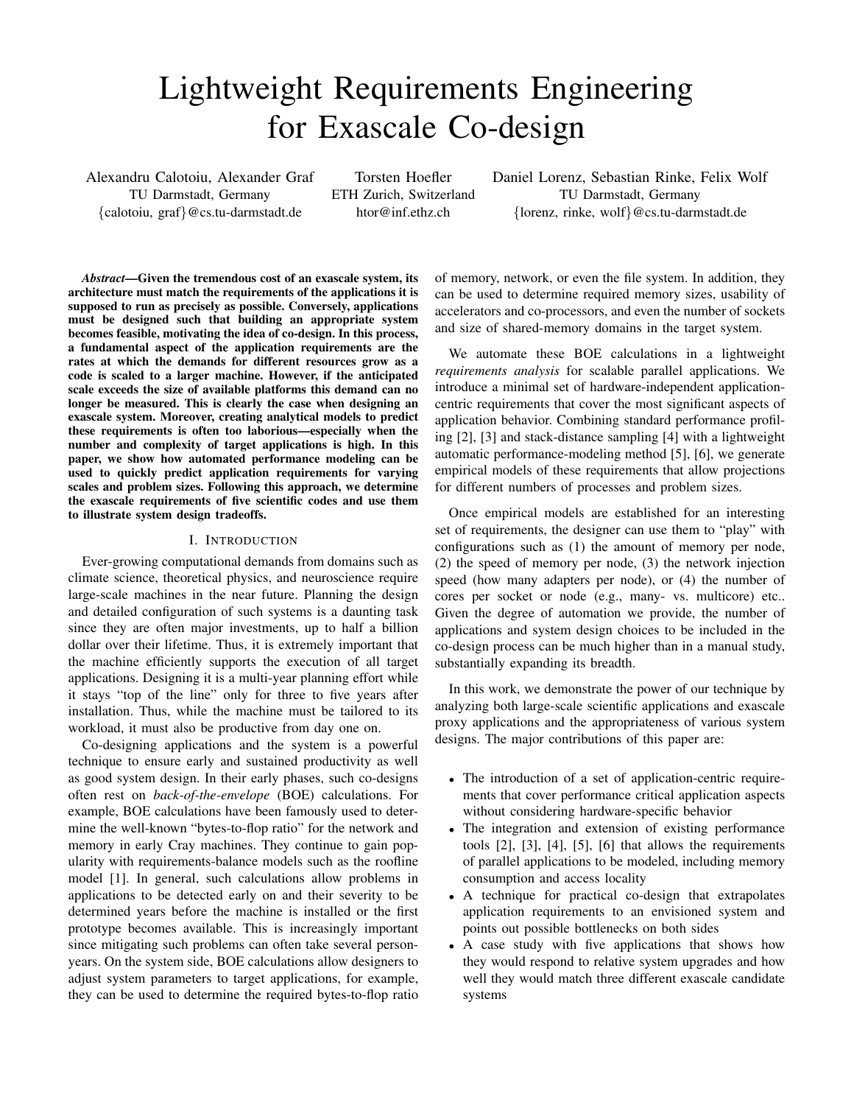# Lightweight Requirements Engineering for Exascale Co-design

Alexandru Calotoiu, Alexander Graf TU Darmstadt, Germany {calotoiu, graf}@cs.tu-darmstadt.de

Torsten Hoefler ETH Zurich, Switzerland htor@inf.ethz.ch

Daniel Lorenz, Sebastian Rinke, Felix Wolf TU Darmstadt, Germany {lorenz, rinke, wolf}@cs.tu-darmstadt.de

*Abstract*—Given the tremendous cost of an exascale system, its architecture must match the requirements of the applications it is supposed to run as precisely as possible. Conversely, applications must be designed such that building an appropriate system becomes feasible, motivating the idea of co-design. In this process, a fundamental aspect of the application requirements are the rates at which the demands for different resources grow as a code is scaled to a larger machine. However, if the anticipated scale exceeds the size of available platforms this demand can no longer be measured. This is clearly the case when designing an exascale system. Moreover, creating analytical models to predict these requirements is often too laborious—especially when the number and complexity of target applications is high. In this paper, we show how automated performance modeling can be used to quickly predict application requirements for varying scales and problem sizes. Following this approach, we determine the exascale requirements of five scientific codes and use them to illustrate system design tradeoffs.

## I. INTRODUCTION

Ever-growing computational demands from domains such as climate science, theoretical physics, and neuroscience require large-scale machines in the near future. Planning the design and detailed configuration of such systems is a daunting task since they are often major investments, up to half a billion dollar over their lifetime. Thus, it is extremely important that the machine efficiently supports the execution of all target applications. Designing it is a multi-year planning effort while it stays "top of the line" only for three to five years after installation. Thus, while the machine must be tailored to its workload, it must also be productive from day one on.

Co-designing applications and the system is a powerful technique to ensure early and sustained productivity as well as good system design. In their early phases, such co-designs often rest on *back-of-the-envelope* (BOE) calculations. For example, BOE calculations have been famously used to determine the well-known "bytes-to-flop ratio" for the network and memory in early Cray machines. They continue to gain popularity with requirements-balance models such as the roofline model [1]. In general, such calculations allow problems in applications to be detected early on and their severity to be determined years before the machine is installed or the first prototype becomes available. This is increasingly important since mitigating such problems can often take several personyears. On the system side, BOE calculations allow designers to adjust system parameters to target applications, for example, they can be used to determine the required bytes-to-flop ratio

of memory, network, or even the file system. In addition, they can be used to determine required memory sizes, usability of accelerators and co-processors, and even the number of sockets and size of shared-memory domains in the target system.

We automate these BOE calculations in a lightweight *requirements analysis* for scalable parallel applications. We introduce a minimal set of hardware-independent applicationcentric requirements that cover the most significant aspects of application behavior. Combining standard performance profiling [2], [3] and stack-distance sampling [4] with a lightweight automatic performance-modeling method [5], [6], we generate empirical models of these requirements that allow projections for different numbers of processes and problem sizes.

Once empirical models are established for an interesting set of requirements, the designer can use them to "play" with configurations such as (1) the amount of memory per node, (2) the speed of memory per node, (3) the network injection speed (how many adapters per node), or (4) the number of cores per socket or node (e.g., many- vs. multicore) etc.. Given the degree of automation we provide, the number of applications and system design choices to be included in the co-design process can be much higher than in a manual study, substantially expanding its breadth.

In this work, we demonstrate the power of our technique by analyzing both large-scale scientific applications and exascale proxy applications and the appropriateness of various system designs. The major contributions of this paper are:

- The introduction of a set of application-centric requirements that cover performance critical application aspects without considering hardware-specific behavior
- The integration and extension of existing performance tools  $[2]$ ,  $[3]$ ,  $[4]$ ,  $[5]$ ,  $[6]$  that allows the requirements of parallel applications to be modeled, including memory consumption and access locality
- A technique for practical co-design that extrapolates application requirements to an envisioned system and points out possible bottlenecks on both sides
- A case study with five applications that shows how they would respond to relative system upgrades and how well they would match three different exascale candidate systems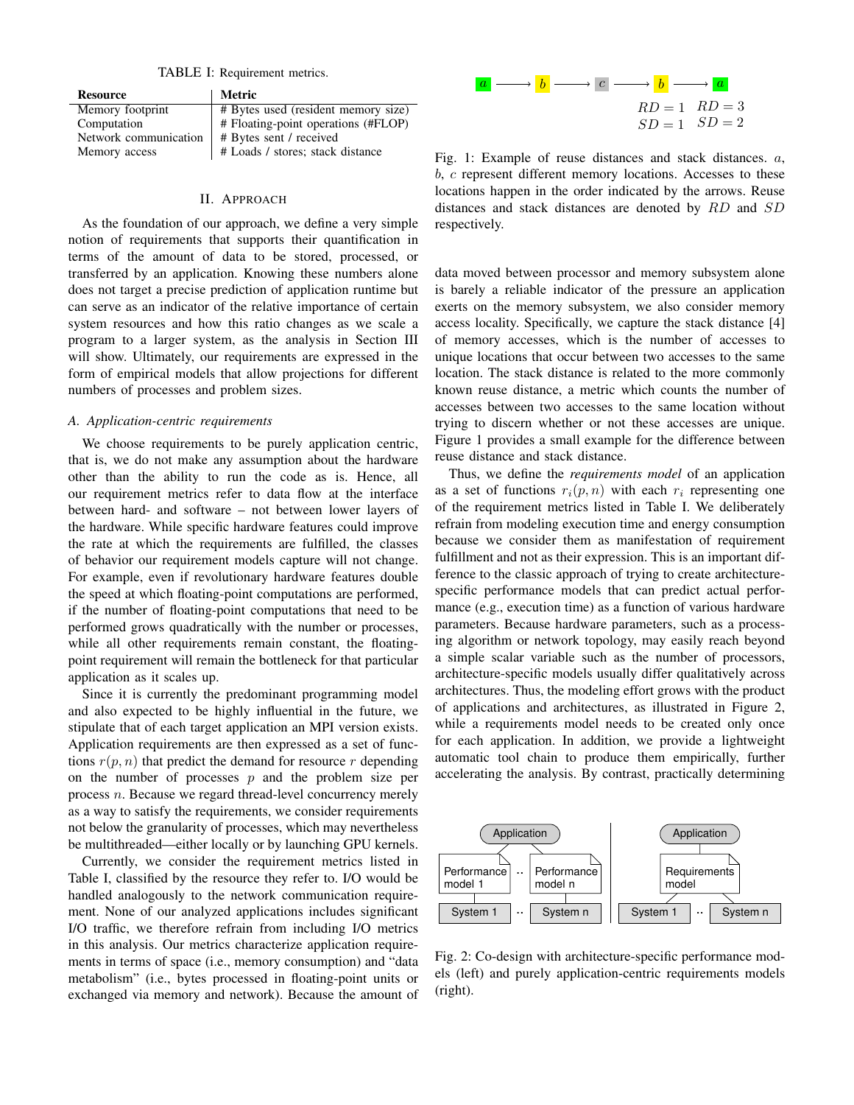TABLE I: Requirement metrics.

| <b>Resource</b>       | Metric                              |
|-----------------------|-------------------------------------|
| Memory footprint      | # Bytes used (resident memory size) |
| Computation           | # Floating-point operations (#FLOP) |
| Network communication | # Bytes sent / received             |
| Memory access         | # Loads / stores; stack distance    |

## II. APPROACH

As the foundation of our approach, we define a very simple notion of requirements that supports their quantification in terms of the amount of data to be stored, processed, or transferred by an application. Knowing these numbers alone does not target a precise prediction of application runtime but can serve as an indicator of the relative importance of certain system resources and how this ratio changes as we scale a program to a larger system, as the analysis in Section III will show. Ultimately, our requirements are expressed in the form of empirical models that allow projections for different numbers of processes and problem sizes.

## *A. Application-centric requirements*

We choose requirements to be purely application centric, that is, we do not make any assumption about the hardware other than the ability to run the code as is. Hence, all our requirement metrics refer to data flow at the interface between hard- and software – not between lower layers of the hardware. While specific hardware features could improve the rate at which the requirements are fulfilled, the classes of behavior our requirement models capture will not change. For example, even if revolutionary hardware features double the speed at which floating-point computations are performed, if the number of floating-point computations that need to be performed grows quadratically with the number or processes, while all other requirements remain constant, the floatingpoint requirement will remain the bottleneck for that particular application as it scales up.

Since it is currently the predominant programming model and also expected to be highly influential in the future, we stipulate that of each target application an MPI version exists. Application requirements are then expressed as a set of functions  $r(p, n)$  that predict the demand for resource r depending on the number of processes  $p$  and the problem size per process n. Because we regard thread-level concurrency merely as a way to satisfy the requirements, we consider requirements not below the granularity of processes, which may nevertheless be multithreaded—either locally or by launching GPU kernels.

Currently, we consider the requirement metrics listed in Table I, classified by the resource they refer to. I/O would be handled analogously to the network communication requirement. None of our analyzed applications includes significant I/O traffic, we therefore refrain from including I/O metrics in this analysis. Our metrics characterize application requirements in terms of space (i.e., memory consumption) and "data metabolism" (i.e., bytes processed in floating-point units or exchanged via memory and network). Because the amount of



Fig. 1: Example of reuse distances and stack distances. a, b, c represent different memory locations. Accesses to these locations happen in the order indicated by the arrows. Reuse distances and stack distances are denoted by RD and SD respectively.

data moved between processor and memory subsystem alone is barely a reliable indicator of the pressure an application exerts on the memory subsystem, we also consider memory access locality. Specifically, we capture the stack distance [4] of memory accesses, which is the number of accesses to unique locations that occur between two accesses to the same location. The stack distance is related to the more commonly known reuse distance, a metric which counts the number of accesses between two accesses to the same location without trying to discern whether or not these accesses are unique. Figure 1 provides a small example for the difference between reuse distance and stack distance.

Thus, we define the *requirements model* of an application as a set of functions  $r_i(p, n)$  with each  $r_i$  representing one of the requirement metrics listed in Table I. We deliberately refrain from modeling execution time and energy consumption because we consider them as manifestation of requirement fulfillment and not as their expression. This is an important difference to the classic approach of trying to create architecturespecific performance models that can predict actual performance (e.g., execution time) as a function of various hardware parameters. Because hardware parameters, such as a processing algorithm or network topology, may easily reach beyond a simple scalar variable such as the number of processors, architecture-specific models usually differ qualitatively across architectures. Thus, the modeling effort grows with the product of applications and architectures, as illustrated in Figure 2, while a requirements model needs to be created only once for each application. In addition, we provide a lightweight automatic tool chain to produce them empirically, further accelerating the analysis. By contrast, practically determining



Fig. 2: Co-design with architecture-specific performance models (left) and purely application-centric requirements models (right).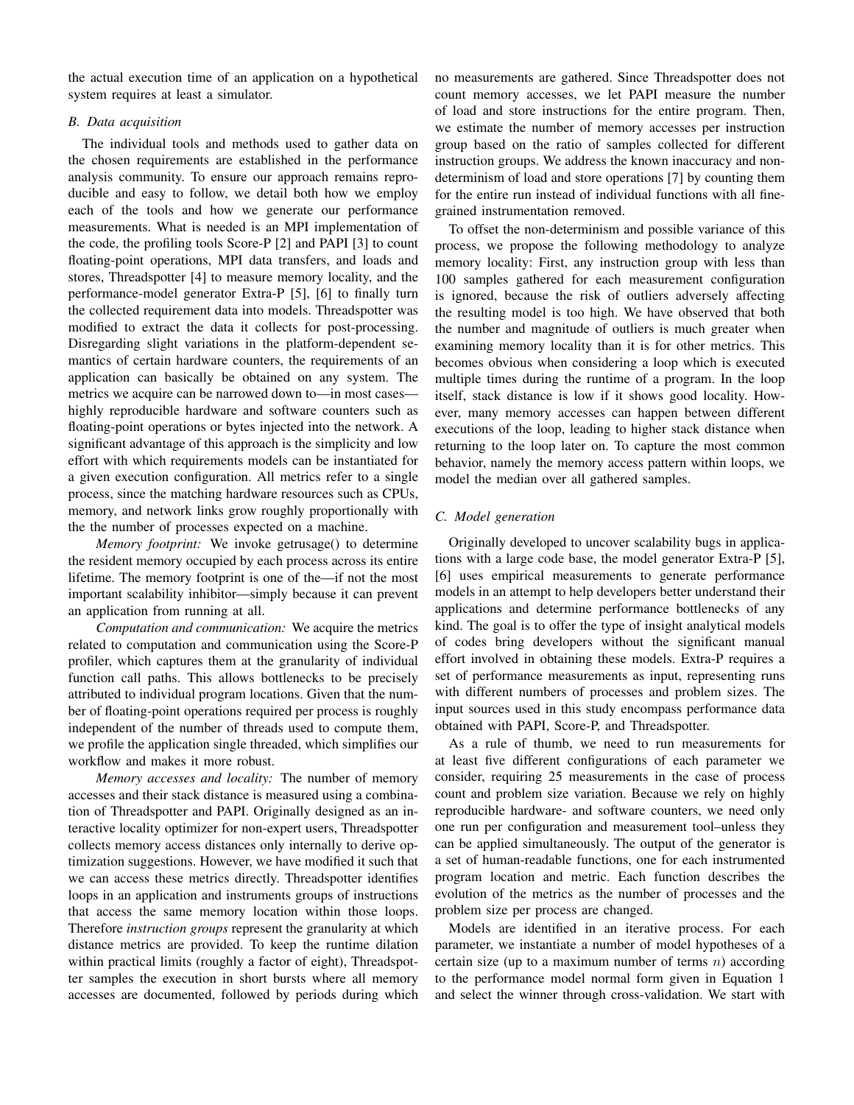the actual execution time of an application on a hypothetical system requires at least a simulator.

## *B. Data acquisition*

The individual tools and methods used to gather data on the chosen requirements are established in the performance analysis community. To ensure our approach remains reproducible and easy to follow, we detail both how we employ each of the tools and how we generate our performance measurements. What is needed is an MPI implementation of the code, the profiling tools Score-P [2] and PAPI [3] to count floating-point operations, MPI data transfers, and loads and stores, Threadspotter [4] to measure memory locality, and the performance-model generator Extra-P [5], [6] to finally turn the collected requirement data into models. Threadspotter was modified to extract the data it collects for post-processing. Disregarding slight variations in the platform-dependent semantics of certain hardware counters, the requirements of an application can basically be obtained on any system. The metrics we acquire can be narrowed down to—in most cases highly reproducible hardware and software counters such as floating-point operations or bytes injected into the network. A significant advantage of this approach is the simplicity and low effort with which requirements models can be instantiated for a given execution configuration. All metrics refer to a single process, since the matching hardware resources such as CPUs, memory, and network links grow roughly proportionally with the the number of processes expected on a machine.

*Memory footprint:* We invoke getrusage() to determine the resident memory occupied by each process across its entire lifetime. The memory footprint is one of the—if not the most important scalability inhibitor—simply because it can prevent an application from running at all.

*Computation and communication:* We acquire the metrics related to computation and communication using the Score-P profiler, which captures them at the granularity of individual function call paths. This allows bottlenecks to be precisely attributed to individual program locations. Given that the number of floating-point operations required per process is roughly independent of the number of threads used to compute them, we profile the application single threaded, which simplifies our workflow and makes it more robust.

*Memory accesses and locality:* The number of memory accesses and their stack distance is measured using a combination of Threadspotter and PAPI. Originally designed as an interactive locality optimizer for non-expert users, Threadspotter collects memory access distances only internally to derive optimization suggestions. However, we have modified it such that we can access these metrics directly. Threadspotter identifies loops in an application and instruments groups of instructions that access the same memory location within those loops. Therefore *instruction groups* represent the granularity at which distance metrics are provided. To keep the runtime dilation within practical limits (roughly a factor of eight), Threadspotter samples the execution in short bursts where all memory accesses are documented, followed by periods during which no measurements are gathered. Since Threadspotter does not count memory accesses, we let PAPI measure the number of load and store instructions for the entire program. Then, we estimate the number of memory accesses per instruction group based on the ratio of samples collected for different instruction groups. We address the known inaccuracy and nondeterminism of load and store operations [7] by counting them for the entire run instead of individual functions with all finegrained instrumentation removed.

To offset the non-determinism and possible variance of this process, we propose the following methodology to analyze memory locality: First, any instruction group with less than 100 samples gathered for each measurement configuration is ignored, because the risk of outliers adversely affecting the resulting model is too high. We have observed that both the number and magnitude of outliers is much greater when examining memory locality than it is for other metrics. This becomes obvious when considering a loop which is executed multiple times during the runtime of a program. In the loop itself, stack distance is low if it shows good locality. However, many memory accesses can happen between different executions of the loop, leading to higher stack distance when returning to the loop later on. To capture the most common behavior, namely the memory access pattern within loops, we model the median over all gathered samples.

## *C. Model generation*

Originally developed to uncover scalability bugs in applications with a large code base, the model generator Extra-P [5], [6] uses empirical measurements to generate performance models in an attempt to help developers better understand their applications and determine performance bottlenecks of any kind. The goal is to offer the type of insight analytical models of codes bring developers without the significant manual effort involved in obtaining these models. Extra-P requires a set of performance measurements as input, representing runs with different numbers of processes and problem sizes. The input sources used in this study encompass performance data obtained with PAPI, Score-P, and Threadspotter.

As a rule of thumb, we need to run measurements for at least five different configurations of each parameter we consider, requiring 25 measurements in the case of process count and problem size variation. Because we rely on highly reproducible hardware- and software counters, we need only one run per configuration and measurement tool–unless they can be applied simultaneously. The output of the generator is a set of human-readable functions, one for each instrumented program location and metric. Each function describes the evolution of the metrics as the number of processes and the problem size per process are changed.

Models are identified in an iterative process. For each parameter, we instantiate a number of model hypotheses of a certain size (up to a maximum number of terms  $n$ ) according to the performance model normal form given in Equation 1 and select the winner through cross-validation. We start with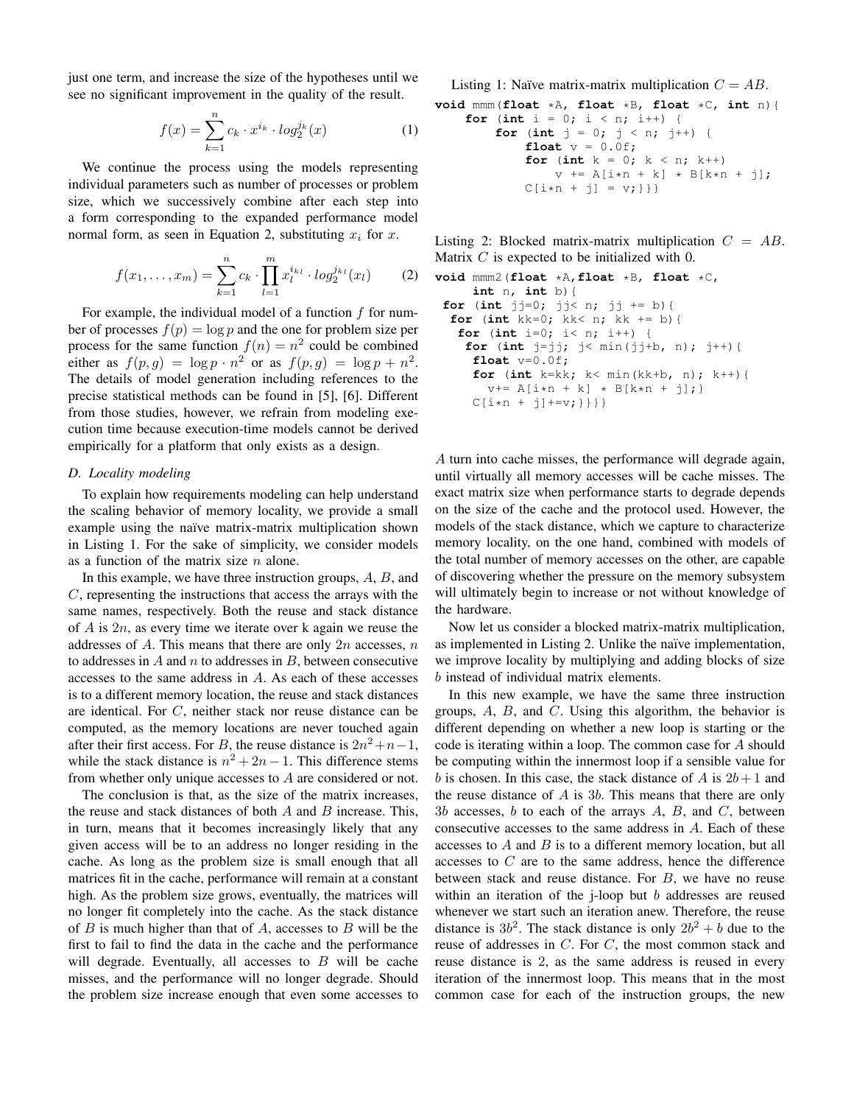just one term, and increase the size of the hypotheses until we see no significant improvement in the quality of the result.

$$
f(x) = \sum_{k=1}^{n} c_k \cdot x^{i_k} \cdot \log_2^{j_k}(x)
$$
 (1)

We continue the process using the models representing individual parameters such as number of processes or problem size, which we successively combine after each step into a form corresponding to the expanded performance model normal form, as seen in Equation 2, substituting  $x_i$  for x.

$$
f(x_1,...,x_m) = \sum_{k=1}^n c_k \cdot \prod_{l=1}^m x_l^{i_{k_l}} \cdot \log_2^{j_{k_l}}(x_l) \qquad (2)
$$

For example, the individual model of a function  $f$  for number of processes  $f(p) = \log p$  and the one for problem size per process for the same function  $f(n) = n^2$  could be combined either as  $f(p,g) = \log p \cdot n^2$  or as  $f(p,g) = \log p + n^2$ . The details of model generation including references to the precise statistical methods can be found in [5], [6]. Different from those studies, however, we refrain from modeling execution time because execution-time models cannot be derived empirically for a platform that only exists as a design.

## *D. Locality modeling*

To explain how requirements modeling can help understand the scaling behavior of memory locality, we provide a small example using the naïve matrix-matrix multiplication shown in Listing 1. For the sake of simplicity, we consider models as a function of the matrix size  $n$  alone.

In this example, we have three instruction groups,  $A$ ,  $B$ , and C, representing the instructions that access the arrays with the same names, respectively. Both the reuse and stack distance of  $A$  is  $2n$ , as every time we iterate over k again we reuse the addresses of  $A$ . This means that there are only  $2n$  accesses,  $n$ to addresses in  $A$  and  $n$  to addresses in  $B$ , between consecutive accesses to the same address in A. As each of these accesses is to a different memory location, the reuse and stack distances are identical. For C, neither stack nor reuse distance can be computed, as the memory locations are never touched again after their first access. For B, the reuse distance is  $2n^2 + n - 1$ , while the stack distance is  $n^2 + 2n - 1$ . This difference stems from whether only unique accesses to A are considered or not.

The conclusion is that, as the size of the matrix increases, the reuse and stack distances of both  $A$  and  $B$  increase. This, in turn, means that it becomes increasingly likely that any given access will be to an address no longer residing in the cache. As long as the problem size is small enough that all matrices fit in the cache, performance will remain at a constant high. As the problem size grows, eventually, the matrices will no longer fit completely into the cache. As the stack distance of  $B$  is much higher than that of  $A$ , accesses to  $B$  will be the first to fail to find the data in the cache and the performance will degrade. Eventually, all accesses to  $B$  will be cache misses, and the performance will no longer degrade. Should the problem size increase enough that even some accesses to Listing 1: Naïve matrix-matrix multiplication  $C = AB$ .

```
void mmm(float *A, float *B, float *C, int n){
    for (int i = 0; i < n; i++) {
        for (int j = 0; j < n; j++) {
            float v = 0.0f;
            for (int k = 0; k < n; k++)
                v += A[i*n + k] * B[k*n + j];
            C[i*n + j] = v; \}
```

```
Listing 2: Blocked matrix-matrix multiplication C = AB.
Matrix C is expected to be initialized with 0.
```

```
void mmm2(float *A,float *B, float *C,
     int n, int b){
 for (int jj=0; jj< n; jj += b){
  for (int kk=0; kk < n; kk + 1) {
   for (int i=0; i< n; i++) {
    for (int j=jj; j< min(jj+b, n); j++){
     float v=0.0f;
     for (int k=kk; k< min(kk+b, n); k++){
       v == A[i*n + k] * B[k*n + j];C[i*n + j]+=v; \}
```
A turn into cache misses, the performance will degrade again, until virtually all memory accesses will be cache misses. The exact matrix size when performance starts to degrade depends on the size of the cache and the protocol used. However, the models of the stack distance, which we capture to characterize memory locality, on the one hand, combined with models of the total number of memory accesses on the other, are capable of discovering whether the pressure on the memory subsystem will ultimately begin to increase or not without knowledge of the hardware.

Now let us consider a blocked matrix-matrix multiplication, as implemented in Listing 2. Unlike the naïve implementation, we improve locality by multiplying and adding blocks of size b instead of individual matrix elements.

In this new example, we have the same three instruction groups, A, B, and C. Using this algorithm, the behavior is different depending on whether a new loop is starting or the code is iterating within a loop. The common case for A should be computing within the innermost loop if a sensible value for b is chosen. In this case, the stack distance of A is  $2b+1$  and the reuse distance of A is 3b. This means that there are only  $3b$  accesses,  $b$  to each of the arrays  $A$ ,  $B$ , and  $C$ , between consecutive accesses to the same address in A. Each of these accesses to  $A$  and  $B$  is to a different memory location, but all accesses to C are to the same address, hence the difference between stack and reuse distance. For  $B$ , we have no reuse within an iteration of the  $j$ -loop but b addresses are reused whenever we start such an iteration anew. Therefore, the reuse distance is  $3b^2$ . The stack distance is only  $2b^2 + b$  due to the reuse of addresses in C. For C, the most common stack and reuse distance is 2, as the same address is reused in every iteration of the innermost loop. This means that in the most common case for each of the instruction groups, the new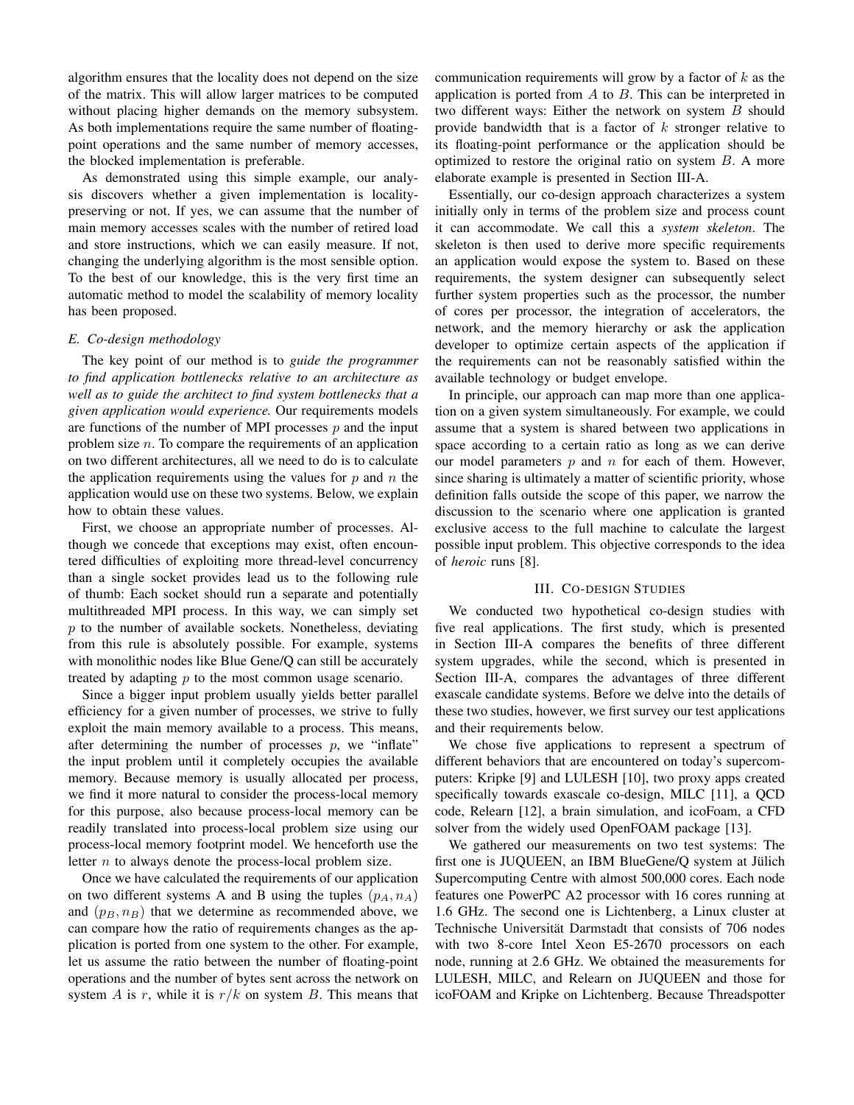algorithm ensures that the locality does not depend on the size of the matrix. This will allow larger matrices to be computed without placing higher demands on the memory subsystem. As both implementations require the same number of floatingpoint operations and the same number of memory accesses, the blocked implementation is preferable.

As demonstrated using this simple example, our analysis discovers whether a given implementation is localitypreserving or not. If yes, we can assume that the number of main memory accesses scales with the number of retired load and store instructions, which we can easily measure. If not, changing the underlying algorithm is the most sensible option. To the best of our knowledge, this is the very first time an automatic method to model the scalability of memory locality has been proposed.

## *E. Co-design methodology*

The key point of our method is to *guide the programmer to find application bottlenecks relative to an architecture as well as to guide the architect to find system bottlenecks that a given application would experience.* Our requirements models are functions of the number of MPI processes  $p$  and the input problem size  $n$ . To compare the requirements of an application on two different architectures, all we need to do is to calculate the application requirements using the values for  $p$  and  $n$  the application would use on these two systems. Below, we explain how to obtain these values.

First, we choose an appropriate number of processes. Although we concede that exceptions may exist, often encountered difficulties of exploiting more thread-level concurrency than a single socket provides lead us to the following rule of thumb: Each socket should run a separate and potentially multithreaded MPI process. In this way, we can simply set  $p$  to the number of available sockets. Nonetheless, deviating from this rule is absolutely possible. For example, systems with monolithic nodes like Blue Gene/Q can still be accurately treated by adapting p to the most common usage scenario.

Since a bigger input problem usually yields better parallel efficiency for a given number of processes, we strive to fully exploit the main memory available to a process. This means, after determining the number of processes  $p$ , we "inflate" the input problem until it completely occupies the available memory. Because memory is usually allocated per process, we find it more natural to consider the process-local memory for this purpose, also because process-local memory can be readily translated into process-local problem size using our process-local memory footprint model. We henceforth use the letter n to always denote the process-local problem size.

Once we have calculated the requirements of our application on two different systems A and B using the tuples  $(p_A, n_A)$ and  $(p_B, n_B)$  that we determine as recommended above, we can compare how the ratio of requirements changes as the application is ported from one system to the other. For example, let us assume the ratio between the number of floating-point operations and the number of bytes sent across the network on system A is r, while it is  $r/k$  on system B. This means that communication requirements will grow by a factor of  $k$  as the application is ported from  $A$  to  $B$ . This can be interpreted in two different ways: Either the network on system  $B$  should provide bandwidth that is a factor of  $k$  stronger relative to its floating-point performance or the application should be optimized to restore the original ratio on system  $B$ . A more elaborate example is presented in Section III-A.

Essentially, our co-design approach characterizes a system initially only in terms of the problem size and process count it can accommodate. We call this a *system skeleton*. The skeleton is then used to derive more specific requirements an application would expose the system to. Based on these requirements, the system designer can subsequently select further system properties such as the processor, the number of cores per processor, the integration of accelerators, the network, and the memory hierarchy or ask the application developer to optimize certain aspects of the application if the requirements can not be reasonably satisfied within the available technology or budget envelope.

In principle, our approach can map more than one application on a given system simultaneously. For example, we could assume that a system is shared between two applications in space according to a certain ratio as long as we can derive our model parameters  $p$  and  $n$  for each of them. However, since sharing is ultimately a matter of scientific priority, whose definition falls outside the scope of this paper, we narrow the discussion to the scenario where one application is granted exclusive access to the full machine to calculate the largest possible input problem. This objective corresponds to the idea of *heroic* runs [8].

## III. CO-DESIGN STUDIES

We conducted two hypothetical co-design studies with five real applications. The first study, which is presented in Section III-A compares the benefits of three different system upgrades, while the second, which is presented in Section III-A, compares the advantages of three different exascale candidate systems. Before we delve into the details of these two studies, however, we first survey our test applications and their requirements below.

We chose five applications to represent a spectrum of different behaviors that are encountered on today's supercomputers: Kripke [9] and LULESH [10], two proxy apps created specifically towards exascale co-design, MILC [11], a QCD code, Relearn [12], a brain simulation, and icoFoam, a CFD solver from the widely used OpenFOAM package [13].

We gathered our measurements on two test systems: The first one is JUQUEEN, an IBM BlueGene/Q system at Jülich Supercomputing Centre with almost 500,000 cores. Each node features one PowerPC A2 processor with 16 cores running at 1.6 GHz. The second one is Lichtenberg, a Linux cluster at Technische Universität Darmstadt that consists of 706 nodes with two 8-core Intel Xeon E5-2670 processors on each node, running at 2.6 GHz. We obtained the measurements for LULESH, MILC, and Relearn on JUQUEEN and those for icoFOAM and Kripke on Lichtenberg. Because Threadspotter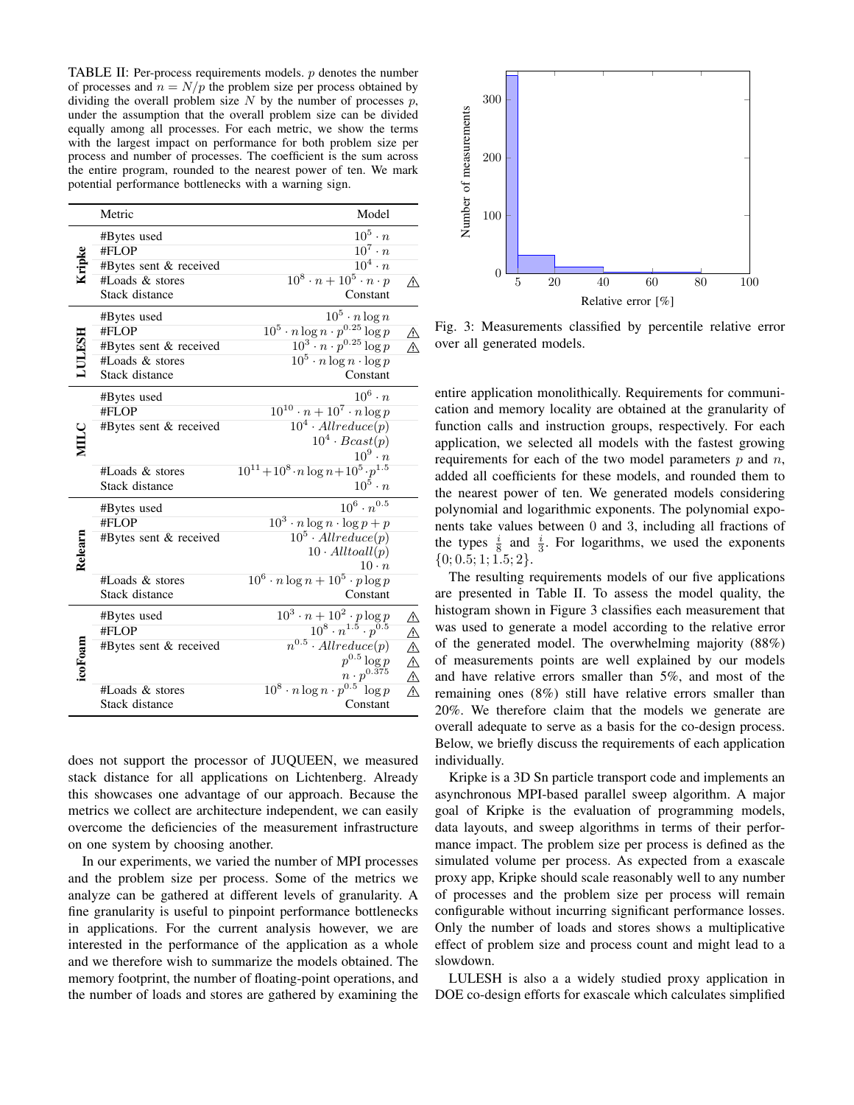TABLE II: Per-process requirements models.  $p$  denotes the number of processes and  $n = N/p$  the problem size per process obtained by dividing the overall problem size  $N$  by the number of processes  $p$ , under the assumption that the overall problem size can be divided equally among all processes. For each metric, we show the terms with the largest impact on performance for both problem size per process and number of processes. The coefficient is the sum across the entire program, rounded to the nearest power of ten. We mark potential performance bottlenecks with a warning sign.

|         | Metric                                                                              | Model                                                                                                                                                                                                                                                 |                                                |
|---------|-------------------------------------------------------------------------------------|-------------------------------------------------------------------------------------------------------------------------------------------------------------------------------------------------------------------------------------------------------|------------------------------------------------|
| Kripke  | #Bytes used<br>#FLOP<br>#Bytes sent & received<br>#Loads & stores<br>Stack distance | $10^5 \cdot n$<br>$10^7 \cdot n$<br>$10^4 \cdot n$<br>$10^8 \cdot n + 10^5 \cdot n \cdot p$<br>Constant                                                                                                                                               | ∧                                              |
| LULESH  | #Bytes used<br>#FLOP<br>#Bytes sent & received<br>#Loads & stores<br>Stack distance | $10^5\cdot n\log n$<br>$10^5 \cdot n \log n \cdot p^{0.25} \log p$<br>$10^3 \cdot n \cdot p^{0.25} \log p$<br>$10^5 \cdot n \log n \cdot \log p$<br>Constant                                                                                          |                                                |
|         | #Bytes used<br>#FLOP<br>#Bytes sent & received<br>#Loads & stores<br>Stack distance | $10^6 \cdot n$<br>$10^{10} \cdot n + 10^7 \cdot n \log p$<br>$10^4 \cdot Allreduce(p)$<br>$10^4 \cdot Back(p)$<br>$10^9 \cdot n$<br>$10^{11} + 10^8 \cdot n \log n + 10^5 \cdot p^{1.5}$<br>$10^5 \cdot n$                                            |                                                |
| Relearn | #Bytes used<br>#FLOP<br>#Bytes sent & received<br>#Loads & stores<br>Stack distance | $10^6 \cdot n^{0.5}$<br>$10^3 \cdot n \log n \cdot \log p + p$<br>$10^5 \cdot Allreduce(p)$<br>$10 \cdot Allto all(p)$<br>$10 \cdot n$<br>$10^6 \cdot n \log n + 10^5 \cdot p \log p$<br>Constant                                                     |                                                |
| icoFoam | #Bytes used<br>#FLOP<br>#Bytes sent & received<br>#Loads & stores<br>Stack distance | $10^3 \cdot n + 10^2 \cdot p \log p$<br>$10^8 \cdot n^{1.\overline{5}} \cdot p^{0.\overline{5}}$<br>$n^{0.5} \cdot Allreduce(p)$<br>$p^{0.5}\log p$<br>$n\cdot p^{0.\bar{3}\bar{7}\bar{5}}$<br>$10^8 \cdot n \log n \cdot p^{0.5} \log p$<br>Constant | 企《人》<br>$\triangle$<br>$\overline{\mathbb{A}}$ |

does not support the processor of JUQUEEN, we measured stack distance for all applications on Lichtenberg. Already this showcases one advantage of our approach. Because the metrics we collect are architecture independent, we can easily overcome the deficiencies of the measurement infrastructure on one system by choosing another.

In our experiments, we varied the number of MPI processes and the problem size per process. Some of the metrics we analyze can be gathered at different levels of granularity. A fine granularity is useful to pinpoint performance bottlenecks in applications. For the current analysis however, we are interested in the performance of the application as a whole and we therefore wish to summarize the models obtained. The memory footprint, the number of floating-point operations, and the number of loads and stores are gathered by examining the



Fig. 3: Measurements classified by percentile relative error over all generated models.

entire application monolithically. Requirements for communication and memory locality are obtained at the granularity of function calls and instruction groups, respectively. For each application, we selected all models with the fastest growing requirements for each of the two model parameters  $p$  and  $n$ , added all coefficients for these models, and rounded them to the nearest power of ten. We generated models considering polynomial and logarithmic exponents. The polynomial exponents take values between 0 and 3, including all fractions of the types  $\frac{i}{8}$  and  $\frac{i}{3}$ . For logarithms, we used the exponents  $\{0; 0.5; 1; 1.5; 2\}.$ 

The resulting requirements models of our five applications are presented in Table II. To assess the model quality, the histogram shown in Figure 3 classifies each measurement that was used to generate a model according to the relative error of the generated model. The overwhelming majority (88%) of measurements points are well explained by our models and have relative errors smaller than 5%, and most of the remaining ones (8%) still have relative errors smaller than 20%. We therefore claim that the models we generate are overall adequate to serve as a basis for the co-design process. Below, we briefly discuss the requirements of each application individually.

Kripke is a 3D Sn particle transport code and implements an asynchronous MPI-based parallel sweep algorithm. A major goal of Kripke is the evaluation of programming models, data layouts, and sweep algorithms in terms of their performance impact. The problem size per process is defined as the simulated volume per process. As expected from a exascale proxy app, Kripke should scale reasonably well to any number of processes and the problem size per process will remain configurable without incurring significant performance losses. Only the number of loads and stores shows a multiplicative effect of problem size and process count and might lead to a slowdown.

LULESH is also a a widely studied proxy application in DOE co-design efforts for exascale which calculates simplified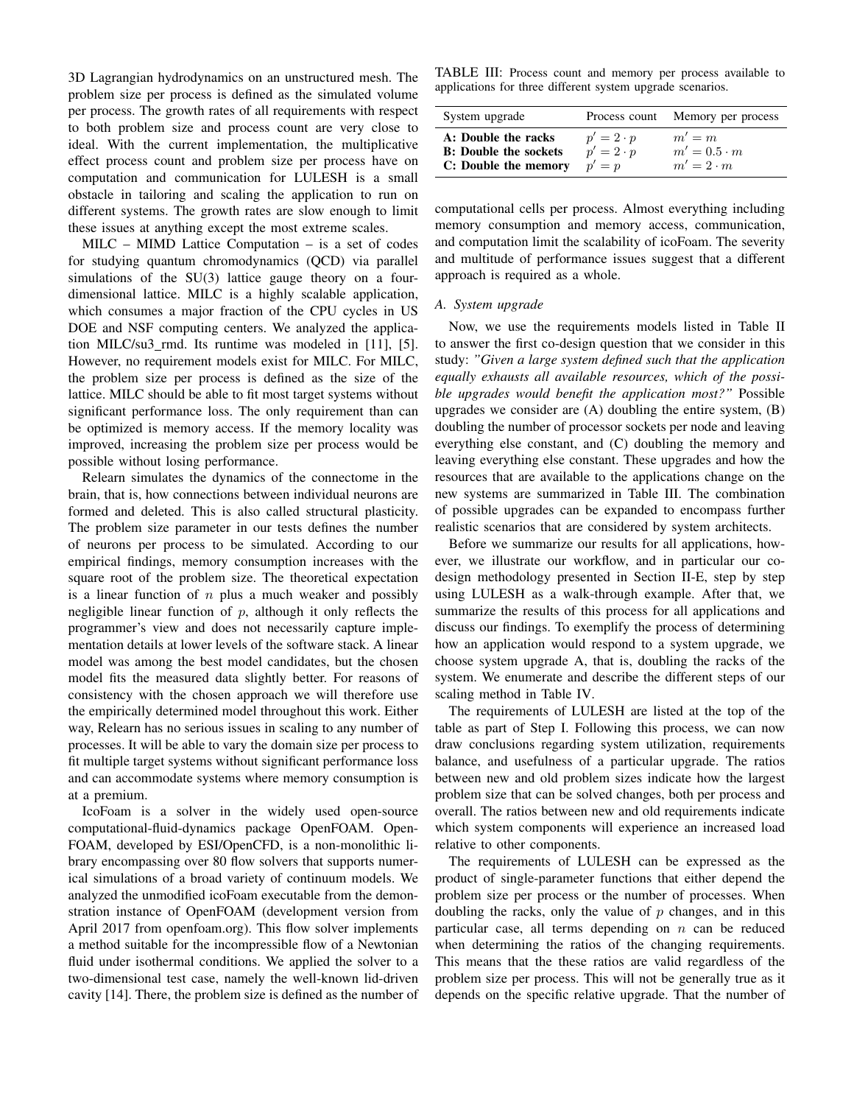3D Lagrangian hydrodynamics on an unstructured mesh. The problem size per process is defined as the simulated volume per process. The growth rates of all requirements with respect to both problem size and process count are very close to ideal. With the current implementation, the multiplicative effect process count and problem size per process have on computation and communication for LULESH is a small obstacle in tailoring and scaling the application to run on different systems. The growth rates are slow enough to limit these issues at anything except the most extreme scales.

MILC – MIMD Lattice Computation – is a set of codes for studying quantum chromodynamics (QCD) via parallel simulations of the SU(3) lattice gauge theory on a fourdimensional lattice. MILC is a highly scalable application, which consumes a major fraction of the CPU cycles in US DOE and NSF computing centers. We analyzed the application MILC/su3\_rmd. Its runtime was modeled in [11], [5]. However, no requirement models exist for MILC. For MILC, the problem size per process is defined as the size of the lattice. MILC should be able to fit most target systems without significant performance loss. The only requirement than can be optimized is memory access. If the memory locality was improved, increasing the problem size per process would be possible without losing performance.

Relearn simulates the dynamics of the connectome in the brain, that is, how connections between individual neurons are formed and deleted. This is also called structural plasticity. The problem size parameter in our tests defines the number of neurons per process to be simulated. According to our empirical findings, memory consumption increases with the square root of the problem size. The theoretical expectation is a linear function of  $n$  plus a much weaker and possibly negligible linear function of  $p$ , although it only reflects the programmer's view and does not necessarily capture implementation details at lower levels of the software stack. A linear model was among the best model candidates, but the chosen model fits the measured data slightly better. For reasons of consistency with the chosen approach we will therefore use the empirically determined model throughout this work. Either way, Relearn has no serious issues in scaling to any number of processes. It will be able to vary the domain size per process to fit multiple target systems without significant performance loss and can accommodate systems where memory consumption is at a premium.

IcoFoam is a solver in the widely used open-source computational-fluid-dynamics package OpenFOAM. Open-FOAM, developed by ESI/OpenCFD, is a non-monolithic library encompassing over 80 flow solvers that supports numerical simulations of a broad variety of continuum models. We analyzed the unmodified icoFoam executable from the demonstration instance of OpenFOAM (development version from April 2017 from openfoam.org). This flow solver implements a method suitable for the incompressible flow of a Newtonian fluid under isothermal conditions. We applied the solver to a two-dimensional test case, namely the well-known lid-driven cavity [14]. There, the problem size is defined as the number of

TABLE III: Process count and memory per process available to applications for three different system upgrade scenarios.

| System upgrade               | Process count | Memory per process |
|------------------------------|---------------|--------------------|
| A: Double the racks          | $p'=2\cdot p$ | $m'=m$             |
| <b>B:</b> Double the sockets | $p'=2\cdot p$ | $m' = 0.5 \cdot m$ |
| C: Double the memory         | $p'=p$        | $m'=2\cdot m$      |

computational cells per process. Almost everything including memory consumption and memory access, communication, and computation limit the scalability of icoFoam. The severity and multitude of performance issues suggest that a different approach is required as a whole.

### *A. System upgrade*

Now, we use the requirements models listed in Table II to answer the first co-design question that we consider in this study: *"Given a large system defined such that the application equally exhausts all available resources, which of the possible upgrades would benefit the application most?"* Possible upgrades we consider are (A) doubling the entire system, (B) doubling the number of processor sockets per node and leaving everything else constant, and (C) doubling the memory and leaving everything else constant. These upgrades and how the resources that are available to the applications change on the new systems are summarized in Table III. The combination of possible upgrades can be expanded to encompass further realistic scenarios that are considered by system architects.

Before we summarize our results for all applications, however, we illustrate our workflow, and in particular our codesign methodology presented in Section II-E, step by step using LULESH as a walk-through example. After that, we summarize the results of this process for all applications and discuss our findings. To exemplify the process of determining how an application would respond to a system upgrade, we choose system upgrade A, that is, doubling the racks of the system. We enumerate and describe the different steps of our scaling method in Table IV.

The requirements of LULESH are listed at the top of the table as part of Step I. Following this process, we can now draw conclusions regarding system utilization, requirements balance, and usefulness of a particular upgrade. The ratios between new and old problem sizes indicate how the largest problem size that can be solved changes, both per process and overall. The ratios between new and old requirements indicate which system components will experience an increased load relative to other components.

The requirements of LULESH can be expressed as the product of single-parameter functions that either depend the problem size per process or the number of processes. When doubling the racks, only the value of  $p$  changes, and in this particular case, all terms depending on  $n$  can be reduced when determining the ratios of the changing requirements. This means that the these ratios are valid regardless of the problem size per process. This will not be generally true as it depends on the specific relative upgrade. That the number of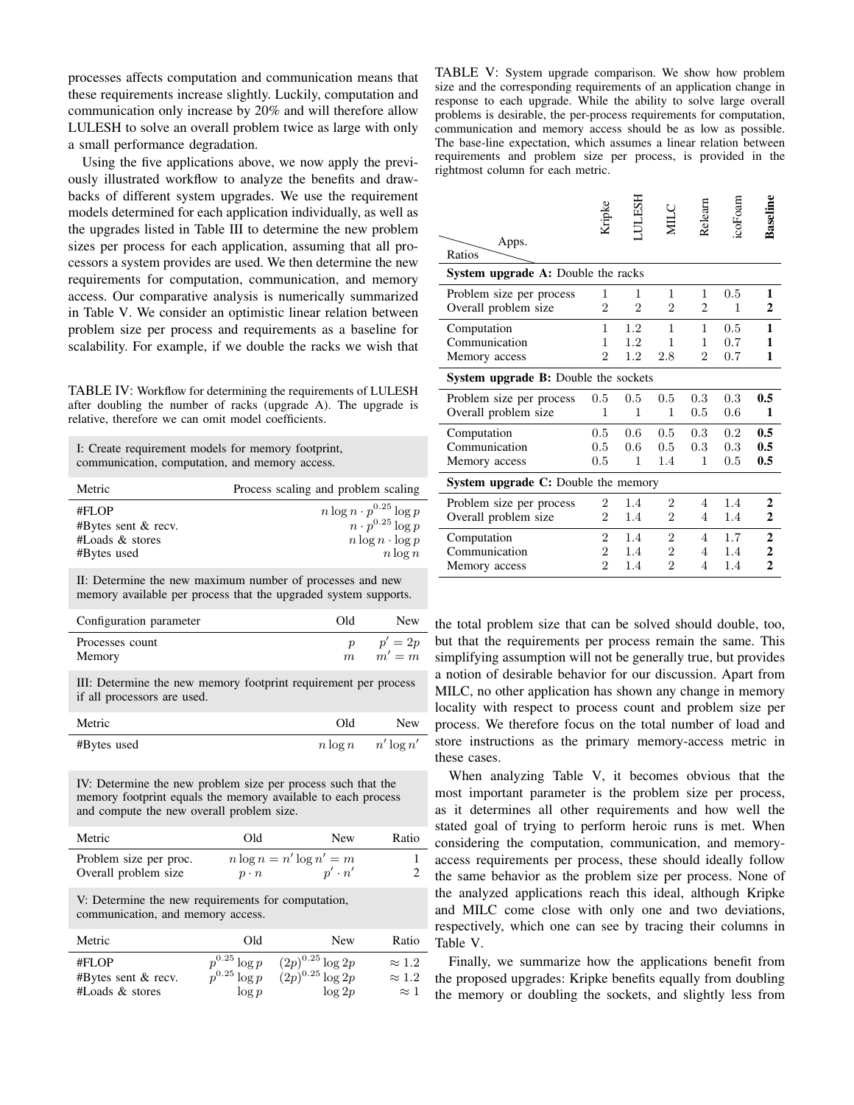processes affects computation and communication means that these requirements increase slightly. Luckily, computation and communication only increase by 20% and will therefore allow LULESH to solve an overall problem twice as large with only a small performance degradation.

Using the five applications above, we now apply the previously illustrated workflow to analyze the benefits and drawbacks of different system upgrades. We use the requirement models determined for each application individually, as well as the upgrades listed in Table III to determine the new problem sizes per process for each application, assuming that all processors a system provides are used. We then determine the new requirements for computation, communication, and memory access. Our comparative analysis is numerically summarized in Table V. We consider an optimistic linear relation between problem size per process and requirements as a baseline for scalability. For example, if we double the racks we wish that

TABLE IV: Workflow for determining the requirements of LULESH after doubling the number of racks (upgrade A). The upgrade is relative, therefore we can omit model coefficients.

I: Create requirement models for memory footprint, communication, computation, and memory access.

| Metric                   | Process scaling and problem scaling |
|--------------------------|-------------------------------------|
| #FLOP                    | $n \log n \cdot p^{0.25} \log p$    |
| $#Bytes$ sent $\&$ recv. | $n \cdot p^{0.25} \log p$           |
| #Loads & stores          | $n \log n \cdot \log p$             |
| #Bytes used              | $n \log n$                          |

II: Determine the new maximum number of processes and new memory available per process that the upgraded system supports.

| Configuration parameter   | Old         | <b>New</b>        |
|---------------------------|-------------|-------------------|
| Processes count<br>Memory | $m_{\cdot}$ | $p'=2p$<br>$m'=m$ |

III: Determine the new memory footprint requirement per process if all processors are used.

| Metric      | Old | <b>New</b>              |
|-------------|-----|-------------------------|
| #Bytes used |     | $n \log n$ $n' \log n'$ |

IV: Determine the new problem size per process such that the memory footprint equals the memory available to each process and compute the new overall problem size.

| Metric                 | Old                         | <b>New</b>    | Ratio |
|------------------------|-----------------------------|---------------|-------|
| Problem size per proc. | $n \log n = n' \log n' = m$ |               |       |
| Overall problem size   | $p \cdot n$                 | $n' \cdot n'$ |       |

V: Determine the new requirements for computation, communication, and memory access.

| Metric                   | Old              | <b>New</b>            | Ratio         |
|--------------------------|------------------|-----------------------|---------------|
| #FLOP                    | $p^{0.25}$ log p | $(2p)^{0.25}$ log 2p  | $\approx 1.2$ |
| $#Bytes$ sent $\&$ recv. | $p^{0.25}$ log p | $(2p)^{0.25} \log 2p$ | $\approx 1.2$ |
| #Loads & stores          | $\log p$         | $\log 2p$             | $\approx$ 1   |

TABLE V: System upgrade comparison. We show how problem size and the corresponding requirements of an application change in response to each upgrade. While the ability to solve large overall problems is desirable, the per-process requirements for computation, communication and memory access should be as low as possible. The base-line expectation, which assumes a linear relation between requirements and problem size per process, is provided in the rightmost column for each metric.

| Apps.<br>Ratios                             | ripke          | LESH           |                | Relearn        | icoFoam | Baseline       |
|---------------------------------------------|----------------|----------------|----------------|----------------|---------|----------------|
| <b>System upgrade A: Double the racks</b>   |                |                |                |                |         |                |
| Problem size per process                    | 1              | 1              | 1              | 1              | 0.5     | 1              |
| Overall problem size                        | $\overline{2}$ | $\overline{2}$ | $\overline{2}$ | $\overline{c}$ | 1       | 2              |
| Computation                                 | 1              | 1.2            | 1              | 1              | 0.5     | 1              |
| Communication                               | 1              | 1.2            | 1              | 1              | 0.7     | 1              |
| Memory access                               | $\overline{2}$ | 1.2            | 2.8            | $\overline{2}$ | 0.7     | 1              |
| <b>System upgrade B:</b> Double the sockets |                |                |                |                |         |                |
| Problem size per process                    | 0.5            | 0.5            | 0.5            | 0.3            | 0.3     | 0.5            |
| Overall problem size                        | 1              | 1              | 1              | 0.5            | 0.6     | 1              |
| Computation                                 | 0.5            | 0.6            | 0.5            | 0.3            | 0.2     | 0.5            |
| Communication                               | 0.5            | 0.6            | 0.5            | 0.3            | 0.3     | 0.5            |
| Memory access                               | $0.5\,$        | 1              | 1.4            | 1              | 0.5     | 0.5            |
| <b>System upgrade C:</b> Double the memory  |                |                |                |                |         |                |
| Problem size per process                    | 2              | 1.4            | $\overline{2}$ | $\overline{4}$ | 1.4     | 2              |
| Overall problem size                        | $\overline{2}$ | 1.4            | $\overline{2}$ | 4              | 1.4     | $\overline{2}$ |
| Computation                                 | $\overline{2}$ | 1.4            | $\overline{2}$ | 4              | 1.7     | $\overline{2}$ |
| Communication                               | $\overline{2}$ | 1.4            | $\overline{2}$ | 4              | 1.4     | 2              |
| Memory access                               | $\overline{2}$ | 1.4            | $\overline{2}$ | 4              | 1.4     | $\overline{2}$ |

the total problem size that can be solved should double, too, but that the requirements per process remain the same. This simplifying assumption will not be generally true, but provides a notion of desirable behavior for our discussion. Apart from MILC, no other application has shown any change in memory locality with respect to process count and problem size per process. We therefore focus on the total number of load and store instructions as the primary memory-access metric in these cases.

When analyzing Table V, it becomes obvious that the most important parameter is the problem size per process, as it determines all other requirements and how well the stated goal of trying to perform heroic runs is met. When considering the computation, communication, and memoryaccess requirements per process, these should ideally follow the same behavior as the problem size per process. None of the analyzed applications reach this ideal, although Kripke and MILC come close with only one and two deviations, respectively, which one can see by tracing their columns in Table V.

Finally, we summarize how the applications benefit from the proposed upgrades: Kripke benefits equally from doubling the memory or doubling the sockets, and slightly less from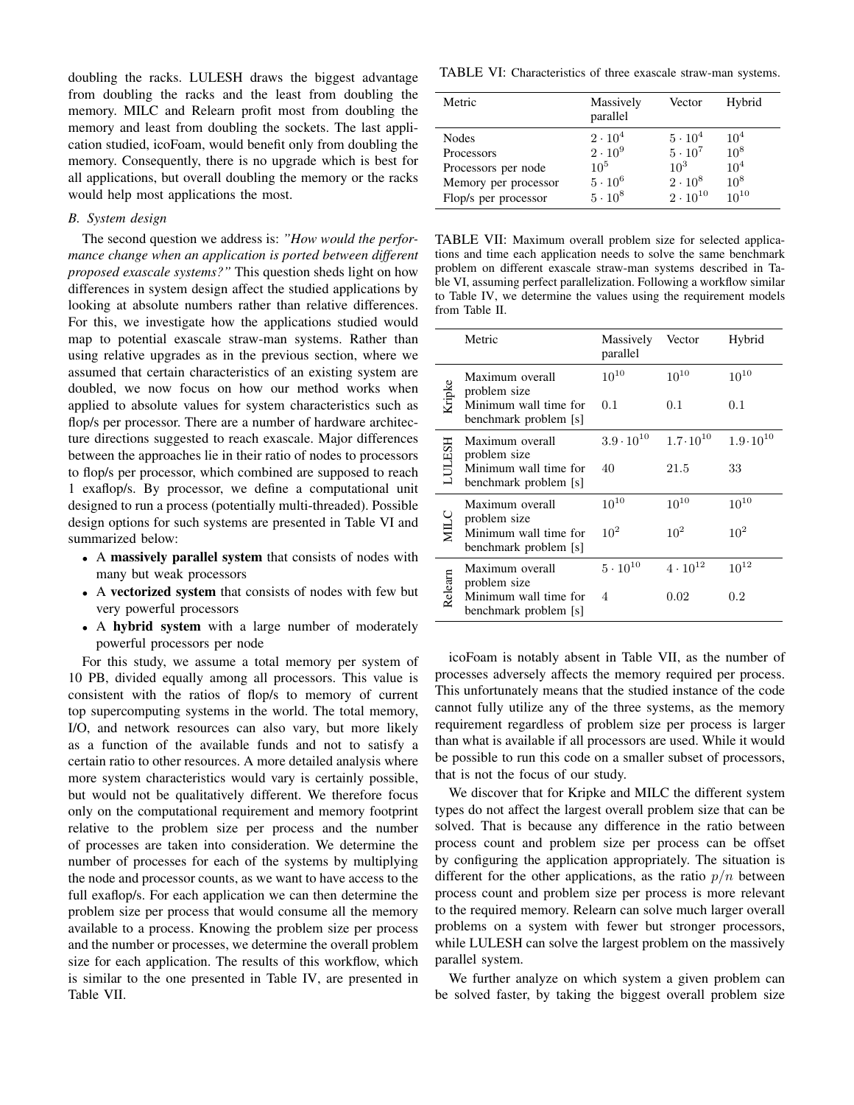doubling the racks. LULESH draws the biggest advantage from doubling the racks and the least from doubling the memory. MILC and Relearn profit most from doubling the memory and least from doubling the sockets. The last application studied, icoFoam, would benefit only from doubling the memory. Consequently, there is no upgrade which is best for all applications, but overall doubling the memory or the racks would help most applications the most.

#### *B. System design*

The second question we address is: *"How would the performance change when an application is ported between different proposed exascale systems?"* This question sheds light on how differences in system design affect the studied applications by looking at absolute numbers rather than relative differences. For this, we investigate how the applications studied would map to potential exascale straw-man systems. Rather than using relative upgrades as in the previous section, where we assumed that certain characteristics of an existing system are doubled, we now focus on how our method works when applied to absolute values for system characteristics such as flop/s per processor. There are a number of hardware architecture directions suggested to reach exascale. Major differences between the approaches lie in their ratio of nodes to processors to flop/s per processor, which combined are supposed to reach 1 exaflop/s. By processor, we define a computational unit designed to run a process (potentially multi-threaded). Possible design options for such systems are presented in Table VI and summarized below:

- A massively parallel system that consists of nodes with many but weak processors
- A vectorized system that consists of nodes with few but very powerful processors
- A hybrid system with a large number of moderately powerful processors per node

For this study, we assume a total memory per system of 10 PB, divided equally among all processors. This value is consistent with the ratios of flop/s to memory of current top supercomputing systems in the world. The total memory, I/O, and network resources can also vary, but more likely as a function of the available funds and not to satisfy a certain ratio to other resources. A more detailed analysis where more system characteristics would vary is certainly possible, but would not be qualitatively different. We therefore focus only on the computational requirement and memory footprint relative to the problem size per process and the number of processes are taken into consideration. We determine the number of processes for each of the systems by multiplying the node and processor counts, as we want to have access to the full exaflop/s. For each application we can then determine the problem size per process that would consume all the memory available to a process. Knowing the problem size per process and the number or processes, we determine the overall problem size for each application. The results of this workflow, which is similar to the one presented in Table IV, are presented in Table VII.

TABLE VI: Characteristics of three exascale straw-man systems.

| Metric               | Massively<br>parallel | Vector            | Hybrid          |
|----------------------|-----------------------|-------------------|-----------------|
| Nodes                | $2 \cdot 10^4$        | $5 \cdot 10^4$    | 10 <sup>4</sup> |
| Processors           | $2 \cdot 10^{9}$      | $5 \cdot 10^7$    | $10^{8}$        |
| Processors per node  | $10^{5}$              | $10^3$            | 10 <sup>4</sup> |
| Memory per processor | $5 \cdot 10^6$        | $2 \cdot 10^8$    | $10^{8}$        |
| Flop/s per processor | $5 \cdot 10^8$        | $2 \cdot 10^{10}$ | $10^{10}$       |

TABLE VII: Maximum overall problem size for selected applications and time each application needs to solve the same benchmark problem on different exascale straw-man systems described in Table VI, assuming perfect parallelization. Following a workflow similar to Table IV, we determine the values using the requirement models from Table II.

|         | Metric                                         | Massively<br>parallel | Vector              | Hybrid              |
|---------|------------------------------------------------|-----------------------|---------------------|---------------------|
| Kripke  | Maximum overall<br>problem size                | $10^{10}$             | $10^{10}$           | $10^{10}$           |
|         | Minimum wall time for<br>benchmark problem [s] | 0.1                   | 0.1                 | 0.1                 |
|         | Maximum overall<br>problem size                | $3.9 \cdot 10^{10}$   | $1.7 \cdot 10^{10}$ | $1.9 \cdot 10^{10}$ |
| LULESH  | Minimum wall time for<br>benchmark problem [s] | 40                    | 21.5                | 33                  |
|         | Maximum overall<br>problem size                | $10^{10}$             | $10^{10}\,$         | $10^{10}$           |
|         | Minimum wall time for<br>benchmark problem [s] | $10^{2}$              | $10^{2}$            | 10 <sup>2</sup>     |
|         | Maximum overall<br>problem size                | $5 \cdot 10^{10}$     | $4 \cdot 10^{12}$   | $10^{12}\,$         |
| Relearn | Minimum wall time for<br>benchmark problem [s] | 4                     | 0.02                | 0.2                 |

icoFoam is notably absent in Table VII, as the number of processes adversely affects the memory required per process. This unfortunately means that the studied instance of the code cannot fully utilize any of the three systems, as the memory requirement regardless of problem size per process is larger than what is available if all processors are used. While it would be possible to run this code on a smaller subset of processors, that is not the focus of our study.

We discover that for Kripke and MILC the different system types do not affect the largest overall problem size that can be solved. That is because any difference in the ratio between process count and problem size per process can be offset by configuring the application appropriately. The situation is different for the other applications, as the ratio  $p/n$  between process count and problem size per process is more relevant to the required memory. Relearn can solve much larger overall problems on a system with fewer but stronger processors, while LULESH can solve the largest problem on the massively parallel system.

We further analyze on which system a given problem can be solved faster, by taking the biggest overall problem size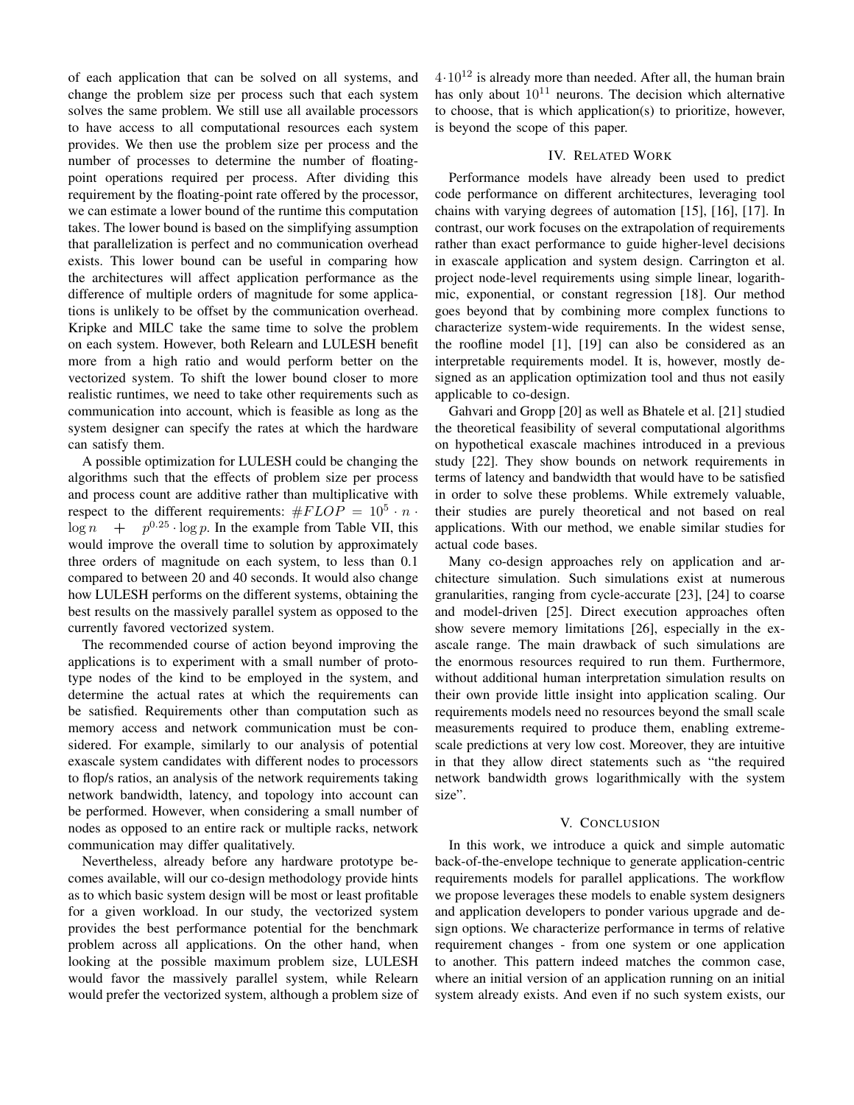of each application that can be solved on all systems, and change the problem size per process such that each system solves the same problem. We still use all available processors to have access to all computational resources each system provides. We then use the problem size per process and the number of processes to determine the number of floatingpoint operations required per process. After dividing this requirement by the floating-point rate offered by the processor, we can estimate a lower bound of the runtime this computation takes. The lower bound is based on the simplifying assumption that parallelization is perfect and no communication overhead exists. This lower bound can be useful in comparing how the architectures will affect application performance as the difference of multiple orders of magnitude for some applications is unlikely to be offset by the communication overhead. Kripke and MILC take the same time to solve the problem on each system. However, both Relearn and LULESH benefit more from a high ratio and would perform better on the vectorized system. To shift the lower bound closer to more realistic runtimes, we need to take other requirements such as communication into account, which is feasible as long as the system designer can specify the rates at which the hardware can satisfy them.

A possible optimization for LULESH could be changing the algorithms such that the effects of problem size per process and process count are additive rather than multiplicative with respect to the different requirements:  $#FLOP = 10^5 \cdot n \cdot$  $\log n + p^{0.25} \cdot \log p$ . In the example from Table VII, this would improve the overall time to solution by approximately three orders of magnitude on each system, to less than 0.1 compared to between 20 and 40 seconds. It would also change how LULESH performs on the different systems, obtaining the best results on the massively parallel system as opposed to the currently favored vectorized system.

The recommended course of action beyond improving the applications is to experiment with a small number of prototype nodes of the kind to be employed in the system, and determine the actual rates at which the requirements can be satisfied. Requirements other than computation such as memory access and network communication must be considered. For example, similarly to our analysis of potential exascale system candidates with different nodes to processors to flop/s ratios, an analysis of the network requirements taking network bandwidth, latency, and topology into account can be performed. However, when considering a small number of nodes as opposed to an entire rack or multiple racks, network communication may differ qualitatively.

Nevertheless, already before any hardware prototype becomes available, will our co-design methodology provide hints as to which basic system design will be most or least profitable for a given workload. In our study, the vectorized system provides the best performance potential for the benchmark problem across all applications. On the other hand, when looking at the possible maximum problem size, LULESH would favor the massively parallel system, while Relearn would prefer the vectorized system, although a problem size of

 $4 \cdot 10^{12}$  is already more than needed. After all, the human brain has only about  $10^{11}$  neurons. The decision which alternative to choose, that is which application(s) to prioritize, however, is beyond the scope of this paper.

## IV. RELATED WORK

Performance models have already been used to predict code performance on different architectures, leveraging tool chains with varying degrees of automation [15], [16], [17]. In contrast, our work focuses on the extrapolation of requirements rather than exact performance to guide higher-level decisions in exascale application and system design. Carrington et al. project node-level requirements using simple linear, logarithmic, exponential, or constant regression [18]. Our method goes beyond that by combining more complex functions to characterize system-wide requirements. In the widest sense, the roofline model [1], [19] can also be considered as an interpretable requirements model. It is, however, mostly designed as an application optimization tool and thus not easily applicable to co-design.

Gahvari and Gropp [20] as well as Bhatele et al. [21] studied the theoretical feasibility of several computational algorithms on hypothetical exascale machines introduced in a previous study [22]. They show bounds on network requirements in terms of latency and bandwidth that would have to be satisfied in order to solve these problems. While extremely valuable, their studies are purely theoretical and not based on real applications. With our method, we enable similar studies for actual code bases.

Many co-design approaches rely on application and architecture simulation. Such simulations exist at numerous granularities, ranging from cycle-accurate [23], [24] to coarse and model-driven [25]. Direct execution approaches often show severe memory limitations [26], especially in the exascale range. The main drawback of such simulations are the enormous resources required to run them. Furthermore, without additional human interpretation simulation results on their own provide little insight into application scaling. Our requirements models need no resources beyond the small scale measurements required to produce them, enabling extremescale predictions at very low cost. Moreover, they are intuitive in that they allow direct statements such as "the required network bandwidth grows logarithmically with the system size".

## V. CONCLUSION

In this work, we introduce a quick and simple automatic back-of-the-envelope technique to generate application-centric requirements models for parallel applications. The workflow we propose leverages these models to enable system designers and application developers to ponder various upgrade and design options. We characterize performance in terms of relative requirement changes - from one system or one application to another. This pattern indeed matches the common case, where an initial version of an application running on an initial system already exists. And even if no such system exists, our